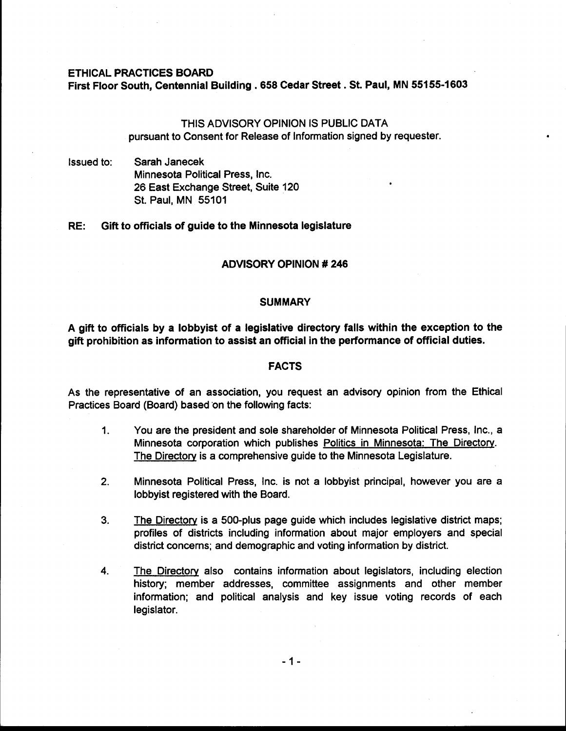### ETHICAL PRACTICES BOARD

First Floor South, Centennial Building . **658** Cedar Street . St. Paul, MN **55155-1603** 

# THIS ADVISORY OPINION IS PUBLIC DATA pursuant to Consent for Release of Information signed by requester.

Issued to: Sarah Janecek Minnesota Political Press, Inc. 26 East Exchange Street, Suite 120 St. Paul, MN 55101

## RE: Gift to officials of guide to the Minnesota legislature

### ADVISORY OPINION # **246**

### **SUMMARY**

A gift to officials by a lobbyist of a legislative directory falls within the exception to the gift prohibition as information to assist an official in the performance of official duties.

## **FACTS**

As the representative of an association, you request an advisory opinion from the Ethical Practices Board (Board) based on the following facts:

- 1. You are the president and sole shareholder of Minnesota Political Press, Inc., a Minnesota corporation which publishes Politics in Minnesota: The Directory. The Directorv is a comprehensive guide to the Minnesota Legislature.
- **2.** Minnesota Political Press, Inc. is not a lobbyist principal, however you are a lobbyist registered with the Board.
- **3.** The Directorv is a 500-plus page guide which includes legislative district maps; profiles of districts including information about major employers and special district concerns; and demographic and voting information by district.
- 4. The Directow also contains information about legislators, including election history; member addresses, committee assignments and other member information; and political analysis and key issue voting records of each legislator.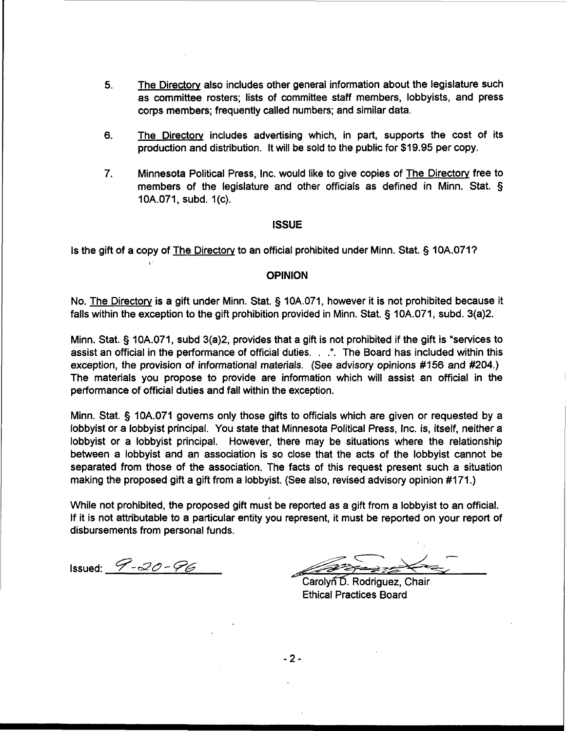- **5.** The Directory also includes other general information about the legislature such as committee rosters; lists of committee staff members, lobbyists, and press corps members; frequently called numbers; and similar data.
- 6. The Directory includes advertising which, in part, supports the cost of its production and distribution. It will be sold to the public for \$19.95 per copy.
- 7. Minnesota Political Press, Inc. would like to give copies of The Directorv free to minimized it children recept inc. We did the to give explosive the <u>interesticatine</u> that members of the legislature and other officials as defined in Minn. Stat. § 10A.071, subd. 1(c).

#### **ISSUE**

Is the gift of a copy of The Directory to an official prohibited under Minn. Stat. § 10A.071?

# **OPINION**

No. The Directory is a gift under Minn. Stat. **9** 10A.071, however it is not prohibited because it falls within the exception to the gift prohibition provided in Minn. Stat. **3** 10A.071, subd. 3(a)2.

Minn. Stat. § 10A.071, subd 3(a)2, provides that a gift is not prohibited if the gift is "services to assist an official in the performance of official duties. . .". The Board has included within this exception, the provision of informational materials. (See advisory opinions #156 and #204.) The materials you propose to provide are information which will assist an official in the performance of official duties and fall within the exception.

Minn. Stat. § 10A.071 governs only those gifts to officials which are given or requested by a lobbyist or a lobbyist principal. You state that Minnesota Political Press, Inc. is, itself, neither a lobbyist or a lobbyist principal. However, there may be situations where the relationship between a lobbyist and an association is so close that the acts of the lobbyist cannot be separated from those of the association. The facts of this request present such a situation making the proposed gift a gift from a lobbyist. (See also, revised advisory opinion #171.)

While not prohibited, the proposed gift must be reported as a gift from a lobbyist to an official. If it is not attributable to a particular entity you represent, it must be reported on your report of disbursements from personal funds.

Issued:  $9 - 20 - 96$ 

**b** 

.-

Carolyn D. Rodriguez, Chair Ethical Practices Board

 $-2-$